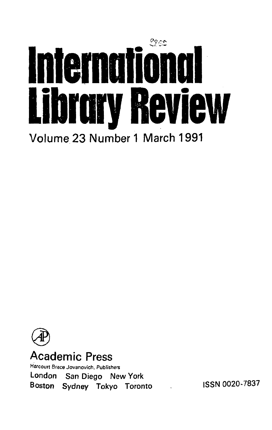



**Academ ic Press Harcourt Brace Jovanovich. Publishers London San Diego New York** Boston Sydney Tokyo Toronto **ISSN 0020-7837**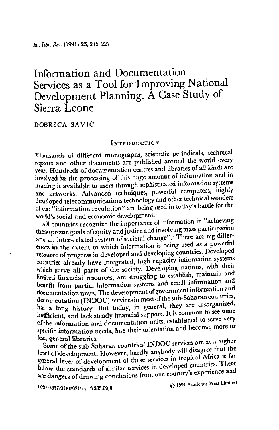# **Information and Documentation Services as a Tool for Improving National Development Planning. A Case Study of Sierra Leone**

# DOBRICA SAVIC

#### INTRODUCTION

Thousands of different monographs, scientific periodicals, technical reports and other documents are published around the world every year. Hundreds of documentation centres and libraries of all kinds are involved in the processing of this huge amount of information and in making it available to users through sophisticated information systems and networks. Advanced techniques, powerful computers, highly developed telecommunications technology and other technical wonders of the "information revolution" are being used in today's battle for the

world's social and economic development. AJ1 countries recognize the importance of information in "achieving thesupreme goals of equity and justice and involving mass participation and an inter-related system of societal change".<sup>1</sup> There are big differ**ences** in the extent to which information is being used as a powerful resource of progress in developed and developing countries. Developed **countries** already have integrated, high capacity information systems which serve all parts of the society. Developing nations, with their **United** financial resources, are struggling to establish, maintain and **benefit** from partial information systems and small information and documentation units. The development of government information and documentation (INDOC) services in most of the sub-Saharan countries, has a long history. But today, in general, they are disorganized, inefficient, and lack steady financial support. **It** is common to see some of the information and documentation units, established to serve very **specific information** needs, lose their orientation and become, more or

les, general libraries.<br>Some of the sub-Saharan countries' INDOC services are at a higher level of development. However, hardly anybody will disagree that the general level of development of these services in tropical Africa is far bdow the standards of similar services in developed countries. There are dangers of drawing conclusions from one country's experience and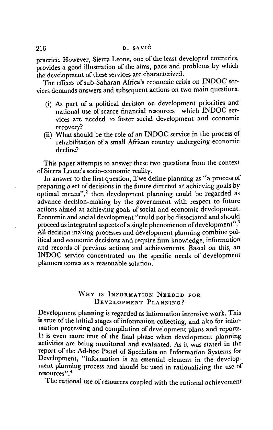practice. However, Sierra Leone, one of the least developed countries, provides a good illustration of the aims, pace and problems by which the development of these services are characterized.

The effects of sub-Saharan Africa's economic crisis on INDOC services demands answers and subsequent actions on two main questions.

- (i) As part of a political decision on development priorities and national use of scarce financial resources—which INDOG services are needed to foster social development and economic recovery?
- (ii) What should be the role of an INDOC service in the process of rehabilitation of a small African country undergoing economic decline?

This paper attempts to answer these two questions from the context of Sierra Leone's socio-economic reality.

In answer to the first question, if we define planning as " a process of preparing a set of decisions in the future directed at achieving goals by optimal means",<sup>2</sup> then development planning could be regarded as advance decision-making by the government with respect to future actions aimed at achieving goals of social and economic development. Economic and social development "could not be dissociated and should proceed as integrated aspects of a single phenomenon of development".<sup>3</sup> AH decision making processes and development planning combine political and economic decisions and require firm knowledge, information and records of previous actions and achievements. Based on this, an INDOC service concentrated on the specific needs of development planners comes as a reasonable solution.

# WHY IS INFORMATION NEEDED FOR DEVELOPMENT PLANNING?

Development planning is regarded as information intensive work. This is true of the initial stages of information collecting, and also for information processing and compilation of development plans and reports. It is even more true of the final phase when development planning activities are being monitored and evaluated. As it was stated in the report of the Ad-hoc Panel of Specialists on Information Systems for Development, "information is an essential element in the development planning process and should be used in rationalizing the use of resources".<sup>4</sup>

The rational use of resources coupled with the rational achievement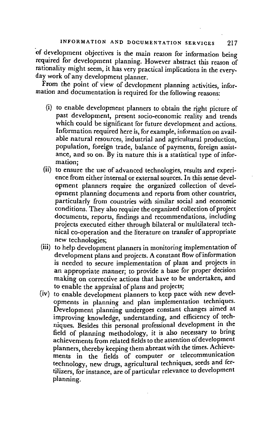of development objectives is the main reason for information being required for development planning. However abstract this reason of rationality might seem, it has very practical implications in the everyday work of any development planner.

From the point of view of development planning activities, information and documentation is required for the following reasons:

- (i) to enable development planners to obtain the rjght picture of past development, present socio-economic reality and trends which could be significant for future development and actions. Information required here is, for example, information on available natural resources, industrial and agricultural production, population, foreign trade, balance of payments, foreign assistance, and so on. By its nature this is a statistical type of information;
- (ii) to ensure the use of advanced technologies, results and experience from either internal or external sources. In this sense development planners require the organized collection of development planning documents and reports from other countries, particularly from countries with similar social and economic conditions. They also require the organized collection of project documents, reports, findings and recommendations, including projects executed either through bilateral or multilateral technical co-operation and the literature on transfer of appropriate
- (iii) to help development planners in monitoring implementation of development plans and projects. A constant flow of information is needed to secure implementation of plans and projects in an appropriate manner; to provide a base for proper decision making on corrective actions that have to be undertaken, and to enable the appraisal of plans and projects;
- (iv) to enable development planners to keep pace with new developments in planning and plan implementation techniques. Development planning undergoes constant changes aimed at improving knowledge, understanding, and efficiency of techniques. Besides this personal professional development in the field of planning methodology, it is also necessary to bring achievements from related fields to the attention of development planners, thereby keeping them abreast with the times. Achievements in the fields of computer or telecommunication technology, new drugs, agricultural techniques, seeds and fertilizers, for instance, are of particular relevance to development planning.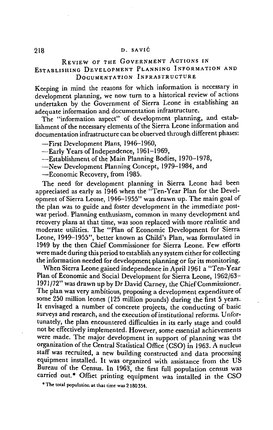#### 218 D. SAVl6

# REVIEW OF THE GOVERNMENT ACTIONS IN ESTABLISHING DEVELOPMENT PLANNING INFORMATION AND DO CUMENTATION INFRASTRUCTURE

Keeping in mind the reasons for which information is necessary in development planning, we now turn to a historical review of actions undertaken by the Government of Sierra Leone in establishing an adequate information and documentation infrastructure.

The "information aspect" of development planning, and establishment of the necessary elements of the Sierra Leone information and documentation infrastructure can be observed through different phases:

- —First Development Plans, 1946-1960,
- —Early Years of Independence, 1961-1969,
- —Establishment of the Main Planning Bodies, 1970-1978,
- —New Development Planning Concept, 1979-1984, and

—Economic Recovery, from 1985.

The need for development planning in Sierra Leone had been appreciated as early as 1946 when the "Ten-Year Plan for the Development of Sierra Leone, 1946-1955" was drawn up. The main goal of the plan was to guide and foster development in the immediate postwar period. Planning enthusiasm, common in many development and recovery plans at that time, was soon replaced with more realistic and moderate utilities. The " Plan of Economic Development for Sierra Leone, 1949-1955", better known as Child's Plan, was formulated in 1949 by the then Chief Commissioner for Sierra Leone. Few efforts were made during this period to establish any system either for collecting the information needed for development planning or for its monitoring.

When Sierra Leone gained independence in April 1961 a "Ten-Year Plan of Economic and Social Development for Sierra Leone, 1962/63- 1971/72" was drawn up by Dr David Carney, the Chief Commissioner. The plan was very ambitious, proposing a development expenditure of some 250 million leones (125 million pounds) during the first 5 years. It envisaged a number of concrete projects, the conducting of basic surveys and research, and the execution of institutional reforms. Unfortunately, the plan encountered difficulties in its early stage and could not be effectively implemented. However, some essential achievements were made. The major development in support of planning was the organization of the Central Statistical Office (CSO) in 1963. A nucleus staff was recruited, a new building constructed and data processing equipment installed. It was organized with assistance from the US Bureau of the Census. In 1963, the first full population census was carried out.\* Offset printing equipment was installed in the CSO

\* The total population at that time was 2 180 354.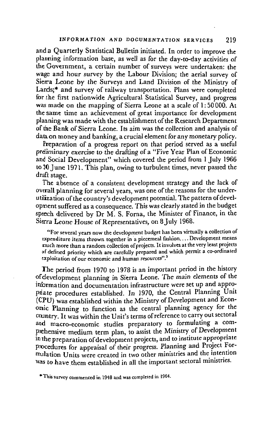and a Quarterly Statistical Bulletin initiated. In order to improve the planning information base, as well as for the day-to-day activities of the Government, a certain number of surveys were undertaken: the wage and hour survey by the Labour Division; the aerial survey of Sierra Leone by the Surveys and Land Division of the Ministry of Lards;<sup>\*</sup> and survey of railway transportation. Plans were completed for the first nationwide Agricultural Statistical Survey, and progress was made on the mapping of Sierra Leone at a scale of 1:50 000. At the same time an achievement of great importance for development plaining was made with the establishment of the Research Department of the Bank of Sierra Leone. Its aim was the collection and analysis of data on money and banking, a crucial element for any monetary policy.

Preparation of a progress report on that period served as a useful preliminary exercise to the drafting of a "Five Year Plan of Economic and Social Development" which covered the period from 1 July 1966 to 30 June 1971. This plan, owing to turbulent times, never passed the draft stage.

The absence of a consistent development strategy and the lack of overall planning for several years, was one of the reasons for the underutilization of the country's development potential. The pattern of development suffered as a consequence. This was clearly stated in the budget speech delivered by Dr M. S. Forna, the Minister of Finance, in the Sierra Leone House of Representatives, on 8 July 1968.

" For several years now the development budget has been virtually a collection of expenditure items thrown together in a piecemeal fashion.... Development means much more than a random collection of projects. It involves at the very least projects defined priority which are carefully prepared and which permit a co-ordinated exploitation of our economic and human resources".<sup>5</sup>

The period from 1970 to 1978 is an important period in the history of development planning in Sierra Leone. The main elements of the information and documentation infrastructure were set up and appropriate procedures established. In 1970, the Central Planning Unit (CPU) was established within the Ministry of Development and Economic Planning to function as the central planning agency for the country. It was within the Unit's terms of reference to carry out sectoral and macro-economic studies preparatory to formulating a comprehensive medium term plan, to assist the Ministry of Development in the preparation of development projects, and to institute appropriate procedures for appraisal of their progress. Planning and Project Formulation Units were created in two other ministries and the intention was to have them established in all the important sectoral ministries.

<sup>\*</sup> This survey commenced in 1948 and was completed in 1964.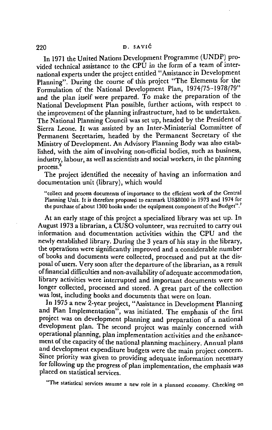In 1971 the United Nations Development Programme (UNDP) provided technical assistance to the CPU in the form of a team of international experts under the project entitled "Assistance in Development Planning". During the course of this project "The Elements for the Formulation of the National Development Plan, 1974/75-1978/79" and the plan itself were prepared. To make the preparation of the National Development Plan possible, further actions, with respect to the improvement of the planning infrastructure, had to be undertaken. The National Planning Council was set up, headed by the President of Sierra Leone. It was assisted by an Inter-Ministerial Committee of Permanent Secretaries, headed by the Permanent Secretary of the Ministry of Development. An Advisory Planning Body was also established, with the aim of involving non-official bodies, such as business, industry, labour, as well as scientists and social workers, in the planning process.<sup>6</sup>

The project identified the necessity of having an information and documentation unit (library), which would

" collect and process documents of importance to the efficient work of the Central Planning Unit. It is therefore proposed to earmark US\$8000 in 1973 and 1974 for the purchase of about 1300 books under the equipment component of the Budget".<sup>7</sup>

At an early stage of this project a specialized library was set up. In August 1973 a librarian, a CUSO volunteer, was recruited to carry out information and documentation activities within the CPU and the newly established library. During the 3 years of his stay in the library, the operations were significantly improved and a considerable number of books and documents were collected, processed and put at the disposal of users. Very soon after the departure of the librarian, as a result of financial difficulties and non-availability of adequate accommodation, library activities were interrupted and important documents were no longer collected, processed and stored. A great part of the collection was lost, including books and documents that were on loan.

In 1975 a new 2-year project, " Assistance in Development Planning and Plan Implementation", was initiated. The emphasis of the first project was on development planning and preparation of a national development plan. The second project was mainly concerned with operational planning, plan implementation activities and the enhancement of the capacity of the national planning machinery. Annual plans and development expenditure budgets were the main project concern. Since priority was given to providing adequate information necessary for following up the progress of plan implementation, the emphasis was placed on statistical services.

The statistical services assume a new role in a planned economy. Checking on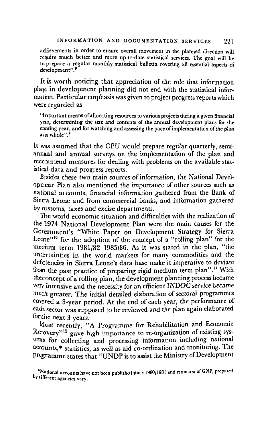aclievements in order to ensure overall movement in the planned direction will require much better and more up-to-date statistical services. The goal will be to prepare a regular monthly statistical bulletin covering all essential aspects of development".<sup>8</sup>

It is worth noticing that appreciation of the role that information plays in development planning did not end with the statistical information. Particular emphasis was given to project progress reports which were regarded as

"inportant means of allocating resources to various projects during a given financial *yen,* determ ining the size and contents of the annual development plans for the ensuing year, and for watching and assessing the pace of implementation of the plan asa whole". $9$ 

It was assumed that the CPU would prepare regular quarterly, semiannual and annual surveys on the implementation of the plan and recommend measures for dealing with problems on the available statistical data and progress reports.

Besides these two main sources of information, the National Development Plan also mentioned the importance of other sources such as national accounts, financial information gathered from the Bank of Sierra Leone and from commercial banks, and information gathered by customs, taxes and excise departments.

The world economic situation and difficulties with the realization of the 1974 National Development Plan were the main causes for the Government's " White Paper on Development Strategy for Sierra Leone"<sup>10</sup> for the adoption of the concept of a "rolling plan" for the medium term 1981/82-1985/86. As it was stated in the plan, " the uncertainties in the world markets for many commodities and the deficiencies in Sierra Leone's data base make it imperative to deviate from the past practice of preparing rigid medium term plan".<sup>11</sup> With theconccpt of a rolling plan, the development planning process became very intensive and the necessity for an efficient *INDOC* service *became* much greater. The initial detailed elaboration of sectoral programmes covered a 3-year period. At the end of each year, the performance of each sector was supposed to be reviewed and the plan again elaborated forthe next 3 years.

Most recently, "A Programme for Rehabilitation and Economic Recovery"<sup>12</sup> gave high importance to re-organization of existing systems for collecting and processing information including national accounts,\* statistics, as well as aid co-ordination and monitoring. The programme states that "UNDP is to assist the Ministry of Development

<sup>&#</sup>x27; National accounts have not been published since 1980/1981 and estimates of GNP, prepared by different agencies vary.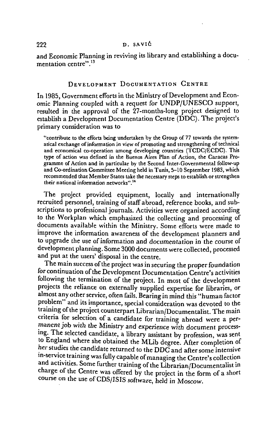and Economic Planning in reviving its library and establishing a documentation centre".<sup>13</sup>

#### DEVELOPMENT DOCUMENTATION CENTRE

In 1985, Government efforts in the Ministry of Development and Economic Planning coupled with a request for UNDP/UNESCO support, resulted in the approval of the 27-months-long project designed to establish a Development Documentation Centre (DDC). The project's primary consideration was to

"contribute to the efforts being undertaken by the Group of 77 towards the systematical exchange of information in view of promoting and strengthening of technical and economical co-operation among developing countries (TCDC/ECDC). This type of action was defined in the Buenos Aires Plan of Action, the Caracas Programme of Action and in particular by the Second Inter-Governmental follow-up and Co-ordination Committee Meeting held in Tunis, 5-10 September 1983, which recommended that Member States take the necessary steps to establish or strengthen their national information networks".14

The project provided equipment, locally and internationally recruited personnel, training of staff abroad, reference books, and subscriptions to professional journals. Activities were organized according to the Workplan which emphasized the collecting and processing of documents available within the Ministry. Some efforts were made to improve the information awareness of the development planners and to upgrade the use of information and documentation in the course of development planning. Some 3000 documents were collected, processed and put at the users' disposal in the centre.

The main success of the project was in securing the proper foundation for continuation of the Development Documentation Centre's activities following the termination of the project. In most of the development projects the reliance on externally supplied expertise for libraries, or almost any other service, often fails. Bearing in mind this "human factor problem" and its importance, special consideration was devoted to the training of the project counterpart Librarian/Documentalist. The main criteria for selection of a candidate for training abroad were a permanent job with the Ministry and experience with document processing. The selected candidate, a library assistant by profession, was sent to England where she obtained the MLib degree. After completion of her studies the candidate returned to the DDC and after some intensive in-service training was fully capable of managing the Centre's collection and activities. Some further training of the Librarian/Documentalist in charge of the Centre was offered by the project in the form of a short course on the use of CDS/ISIS software, held in *Moscow.*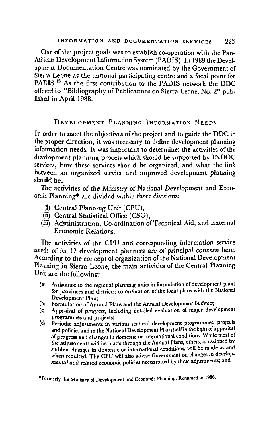One of the project goals was to establish co-operation with the Pan-African Development Information System (PADIS). In 1989 the Development Documentation Centre was nominated by the Government of Sierra Leone as the national participating centre and a focal point for PADIS.<sup>15</sup> As the first contribution to the PADIS network the DDC offered its " Bibliography of Publications on Sierra Leone, No. 2" published in April 1988.

## DEVELOPMENT PLANNING INFORMATION NEEDS

In order to meet the objectives of the project and to guide the DDC in the proper direction, it was necessary to define development planning information needs. It was important to determine: the activities of the development planning process which should be supported by INDOC services, how these services should be organized, and what the link between an organized service and improved development planning should be.

The activities of the Ministry of National Development and Economic Planning\* are divided within three divisions:

- |i) Central Planning Unit (CPU),
- (ii) Central Statistical Office (CSO),
- (5i) Administration, Co-ordination of Technical Aid, and External Economic Relations.

The activities of the CPU and corresponding information service needs of its 17 development planners are of principal *concern* here. According to the concept of organization of the National Development Planning in Sierra Leone, the main activities of the Central Planning Unit are the following:

- (a| Assistance to the regional planning units in formulation of development plans for provinces and districts; co-ordination of the local plans with the National
- Development Plan;<br>(b) Formulation of Annual Plans and the Annual Development Budgets;
- $(c)$  Appraisal of progress, including detailed evaluation of major development
- programmes and projects; (d) Periodic adjustments in various sectoral development programmes, projects and policies and in the National Development Plan itself in the light of appraisal of progress and changes in domestic or international conditions. While most of the adjustments will be made through the Annual Plans, others, occasioned by sudden changes in domestic or international conditions, will be made as and when required. The CPU will also advise Government on changes in developmental and related *economic* policies necessitated by these adjustments; and

<sup>\*</sup> Formerly the Ministry of Development and Economic Planning. Renamed in 1986.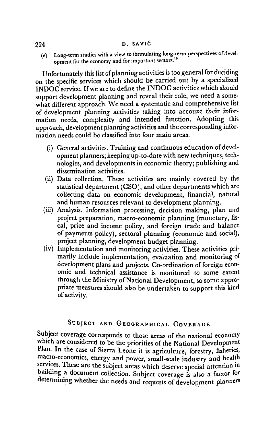(e) Long-term studies with a view to formulating long-term perspectives of development for the economy and for important sectors.<sup>16</sup>

Unfortunately this list of planning activities is too general for deciding on the specific services which should be carried out by a specialized INDOC service. If we are to define the INDOC activities which should support development planning and reveal their role, we need a somewhat different approach. We need a systematic and comprehensive list of development planning activities taking into account their information needs, complexity and intended function. Adopting this approach, development planning activities and the corresponding information needs could be classified into four main areas.

- (i) General activities. Training and continuous education of development planners; keeping up-to-date with new techniques, technologies, and developments in economic theory; publishing and dissemination activities.
- (ii) Data collection. These activities are mainly covered by the statistical department (CSO), and other departments which are collecting data on economic development, financial, natural and human resources relevant to development planning.
- (iii) Analysis. Information processing, decision making, plan and project preparation, macro-economic planning (monetary, fiscal, price and income policy, and foreign trade and balance of payments policy), sectoral planning (economic and social), project planning, development budget planning.
- (iv) Implementation and monitoring activities. These activities primarily include implementation, evaluation and monitoring of development plans and projects. Co-ordination of foreign economic and technical assistance is monitored to some extent through the Ministry of National Development, so some appropriate measures should also be undertaken to support this kind of activity.

# SUBJECT AND GEOGRAPHICAL COVERAGE

Subject coverage corresponds to those areas of the national economy which are considered to be the priorities of the National Development Plan. In the case of Sierra Leone it is agriculture, forestry, fisheries, macro-economics, energy and power, small-scale industry and health services. These are the subject areas which deserve special attention in building a document collection. Subject coverage is also a factor for determining whether the needs and requests of development planners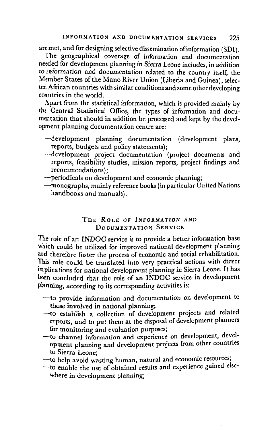are met, and for designing selective dissemination of information (SDI).

The geographical coverage of information and documentation needed for development planning in Sierra Leone includes, in addition to information and documentation related to the country itself, the Mtmber States of the Mano River Union (Liberia and Guinea), selected African countries with similar conditions and some other developing countries in the world.

Apart from the statistical information, which is provided mainly by the Central Statistical Office, the types of information and documentation that should in addition be processed and kept by the development planning documentation centre are:

- —development planning documentation (development plans, reports, budgets and policy statements);
- —development project documentation (project documents and reports, feasibility studies, mission reports, project findings and recommendations);
- —periodicals on development and economic planning;
- —monographs, mainly reference books (in particular United Nations handbooks and manuals).

## THE ROLE OF *INFORMATION AND* DOCUMENTATION SERVICE

The role of an INDOC service is to provide a better information base which could be utilized for improved national development planning and therefore foster the process of economic and social rehabilitation. This role could be translated into very practical actions with direct implications for national development planning in Sierra Leone. It has been concluded that the role of an INDOC service in development planning, according to its corresponding activities is:

- to provide information and documentation on development to
- those involved in national planning; to establish a collection of development projects and related reports, and to put them at the disposal of development planners
- for monitoring and evaluation purposes;<br>
—to channel information and experience on development, development planning and development projects from other countries
- to Sierra Leone;<br>—to help avoid wasting human, natural and economic resources;
- —to enable the use of obtained results and experience gained elsewhere in development planning;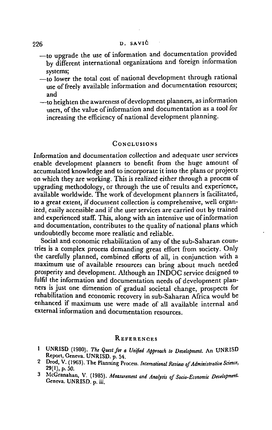- —to upgrade the use of information and documentation provided by different international organizations and foreign information
- systems;<br>-- to lower the total cost of national development through rational use of freely available information and documentation resources;
- and<br>---to heighten the awareness of development planners, as information users, of the value of information and documentation as a tool for increasing the efficiency of national development planning.

#### CONCLUSIONS

Information and documentation collection and adequate user services enable development planners to benefit from the huge amount of accumulated knowledge and to incorporate it into the plans or projects on which they are working. This is realized either through a process of upgrading methodology, or through the use of results and experience, available worldwide. The work of development planners is facilitated, to a great extent, if document collection is comprehensive, well organized, easily accessible and if the user services are carried out by trained and experienced staff. This, along with an intensive use of information and documentation, contributes to the quality of national plans which undoubtedly become more realistic and reliable.

Social and economic rehabilitation of any of the sub-Saharan countries is a complex process demanding great effort from society. Only the carefully planned, combined efforts of all, in conjunction with a maximum use of available resources can bring about much needed prosperity and development. Although an INDOC service designed to fulfil the information and documentation needs of development planners is just one dimension of gradual societal change, prospects for rehabilitation and economic recovery in sub-Saharan Africa would be enhanced if maximum use were made of all available internal and external information and documentation resources.

#### REFERENCES

- 1 UNRISD (1980). *The Quest for a Unified Approach to Development*. An UNRISD Report, Geneva. UNRISD. p. 54.
- 2 Drod, V. (1963). The Planning Process. *International Review of Administrative Science*, 29(1), p. 50.
- 3 McGranahan, V. (1985). *Measurement and Analysis of Socio-Economic Development.* Geneva. UNRISD. p. iii.